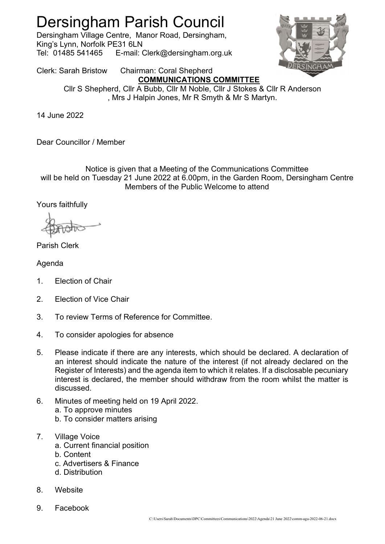## Dersingham Parish Council

Dersingham Village Centre, Manor Road, Dersingham, King's Lynn, Norfolk PE31 6LN Tel: 01485 541465 E-mail: Clerk@dersingham.org.uk



Clerk: Sarah Bristow Chairman: Coral Shepherd COMMUNICATIONS COMMITTEE

Cllr S Shepherd, Cllr A Bubb, Cllr M Noble, Cllr J Stokes & Cllr R Anderson , Mrs J Halpin Jones, Mr R Smyth & Mr S Martyn.

14 June 2022

Dear Councillor / Member

## Notice is given that a Meeting of the Communications Committee will be held on Tuesday 21 June 2022 at 6.00pm, in the Garden Room, Dersingham Centre Members of the Public Welcome to attend

Yours faithfully

## Parish Clerk

Agenda

- 1. Election of Chair
- 2. Election of Vice Chair
- 3. To review Terms of Reference for Committee.
- 4. To consider apologies for absence
- 5. Please indicate if there are any interests, which should be declared. A declaration of an interest should indicate the nature of the interest (if not already declared on the Register of Interests) and the agenda item to which it relates. If a disclosable pecuniary interest is declared, the member should withdraw from the room whilst the matter is discussed.
- 6. Minutes of meeting held on 19 April 2022.
	- a. To approve minutes
	- b. To consider matters arising
- 7. Village Voice
	- a. Current financial position
	- b. Content
	- c. Advertisers & Finance
	- d. Distribution
- 8. Website
- 9. Facebook